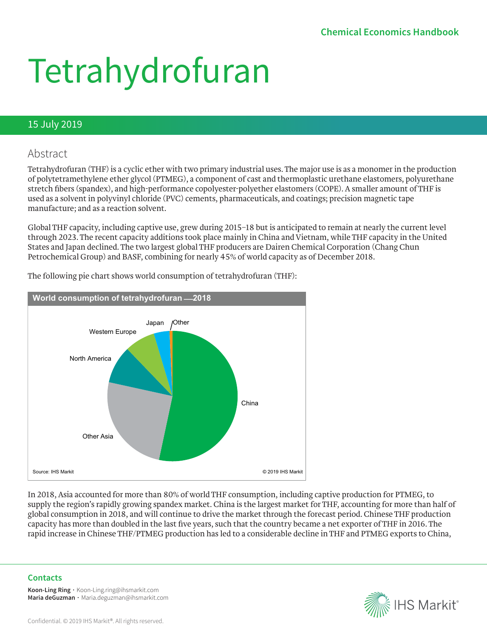# Tetrahydrofuran

#### 15 July 2019

### Abstract

Tetrahydrofuran (THF) is a cyclic ether with two primary industrial uses. The major use is as a monomer in the production of polytetramethylene ether glycol (PTMEG), a component of cast and thermoplastic urethane elastomers, polyurethane stretch fibers (spandex), and high-performance copolyester-polyether elastomers (COPE). A smaller amount of THF is used as a solvent in polyvinyl chloride (PVC) cements, pharmaceuticals, and coatings; precision magnetic tape manufacture; and as a reaction solvent.

Global THF capacity, including captive use, grew during 2015–18 but is anticipated to remain at nearly the current level through 2023. The recent capacity additions took place mainly in China and Vietnam, while THF capacity in the United States and Japan declined. The two largest global THF producers are Dairen Chemical Corporation (Chang Chun Petrochemical Group) and BASF, combining for nearly 45% of world capacity as of December 2018.



The following pie chart shows world consumption of tetrahydrofuran (THF):

In 2018, Asia accounted for more than 80% of world THF consumption, including captive production for PTMEG, to supply the region's rapidly growing spandex market. China is the largest market for THF, accounting for more than half of global consumption in 2018, and will continue to drive the market through the forecast period. Chinese THF production capacity has more than doubled in the last five years, such that the country became a net exporter of THF in 2016. The rapid increase in Chinese THF/PTMEG production has led to a considerable decline in THF and PTMEG exports to China,

#### **Contacts**

**Koon-Ling Ring ∙** Koon-Ling.ring@ihsmarkit.com **Maria deGuzman ∙** Maria.deguzman@ihsmarkit.com

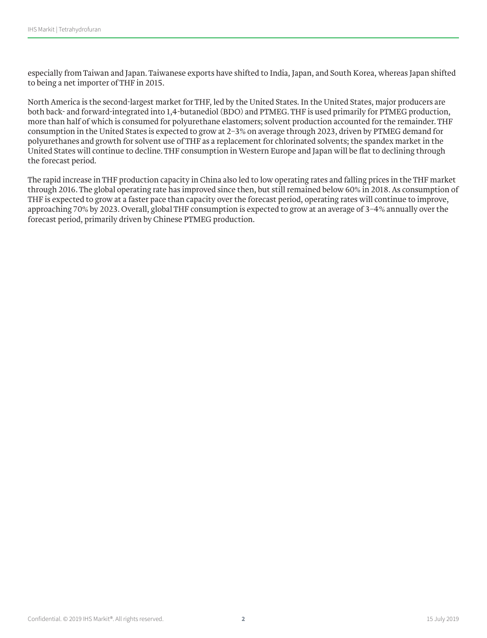especially from Taiwan and Japan. Taiwanese exports have shifted to India, Japan, and South Korea, whereas Japan shifted to being a net importer of THF in 2015.

North America is the second-largest market for THF, led by the United States. In the United States, major producers are both back- and forward-integrated into 1,4-butanediol (BDO) and PTMEG. THF is used primarily for PTMEG production, more than half of which is consumed for polyurethane elastomers; solvent production accounted for the remainder. THF consumption in the United States is expected to grow at 2–3% on average through 2023, driven by PTMEG demand for polyurethanes and growth for solvent use of THF as a replacement for chlorinated solvents; the spandex market in the United States will continue to decline. THF consumption in Western Europe and Japan will be flat to declining through the forecast period.

The rapid increase in THF production capacity in China also led to low operating rates and falling prices in the THF market through 2016. The global operating rate has improved since then, but still remained below 60% in 2018. As consumption of THF is expected to grow at a faster pace than capacity over the forecast period, operating rates will continue to improve, approaching 70% by 2023. Overall, global THF consumption is expected to grow at an average of 3–4% annually over the forecast period, primarily driven by Chinese PTMEG production.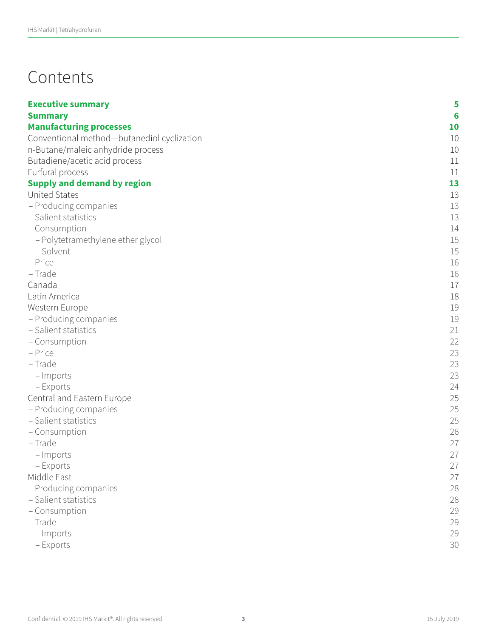## Contents

| <b>Executive summary</b>                   | 5  |
|--------------------------------------------|----|
| <b>Summary</b>                             | 6  |
| <b>Manufacturing processes</b>             | 10 |
| Conventional method-butanediol cyclization | 10 |
| n-Butane/maleic anhydride process          | 10 |
| Butadiene/acetic acid process              | 11 |
| Furfural process                           | 11 |
| <b>Supply and demand by region</b>         | 13 |
| <b>United States</b>                       | 13 |
| - Producing companies                      | 13 |
| - Salient statistics                       | 13 |
| - Consumption                              | 14 |
| - Polytetramethylene ether glycol          | 15 |
| - Solvent                                  | 15 |
| - Price                                    | 16 |
| - Trade                                    | 16 |
| Canada                                     | 17 |
| Latin America                              | 18 |
| Western Europe                             | 19 |
| - Producing companies                      | 19 |
| - Salient statistics                       | 21 |
| - Consumption                              | 22 |
| - Price                                    | 23 |
| - Trade                                    | 23 |
| - Imports                                  | 23 |
| – Exports                                  | 24 |
| Central and Eastern Europe                 | 25 |
| - Producing companies                      | 25 |
| - Salient statistics                       | 25 |
| - Consumption                              | 26 |
| - Trade                                    | 27 |
| - Imports                                  | 27 |
| – Exports                                  | 27 |
| Middle East                                | 27 |
| - Producing companies                      | 28 |
| - Salient statistics                       | 28 |
| - Consumption                              | 29 |
| - Trade                                    | 29 |
| - Imports                                  | 29 |
| - Exports                                  | 30 |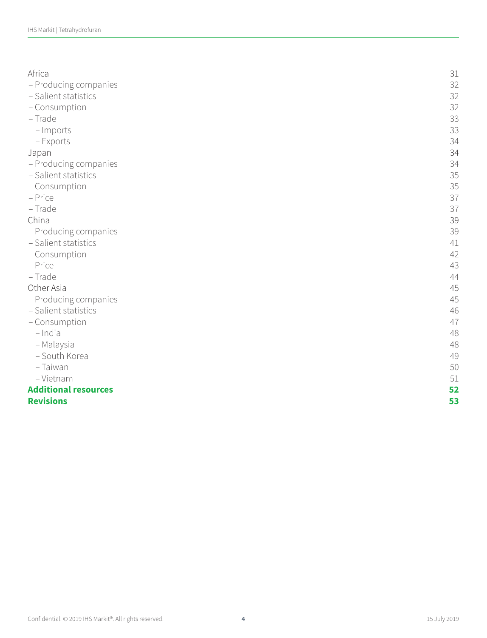| Africa                      | 31 |
|-----------------------------|----|
| - Producing companies       | 32 |
| - Salient statistics        | 32 |
| - Consumption               | 32 |
| - Trade                     | 33 |
| - Imports                   | 33 |
| - Exports                   | 34 |
| Japan                       | 34 |
| - Producing companies       | 34 |
| - Salient statistics        | 35 |
| - Consumption               | 35 |
| - Price                     | 37 |
| - Trade                     | 37 |
| China                       | 39 |
| - Producing companies       | 39 |
| - Salient statistics        | 41 |
| - Consumption               | 42 |
| - Price                     | 43 |
| - Trade                     | 44 |
| Other Asia                  | 45 |
| - Producing companies       | 45 |
| - Salient statistics        | 46 |
| - Consumption               | 47 |
| $-$ India                   | 48 |
| - Malaysia                  | 48 |
| - South Korea               | 49 |
| - Taiwan                    | 50 |
| - Vietnam                   | 51 |
| <b>Additional resources</b> | 52 |
| <b>Revisions</b>            | 53 |